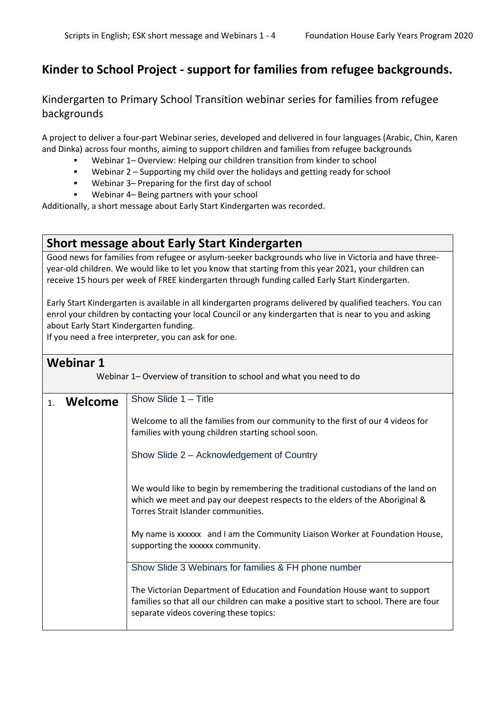## **Kinder to School Project - support for families from refugee backgrounds.**

## Kindergarten to Primary School Transition webinar series for families from refugee backgrounds

A project to deliver a four-part Webinar series, developed and delivered in four languages (Arabic, Chin, Karen and Dinka) across four months, aiming to support children and families from refugee backgrounds

- Webinar 1– Overview: Helping our children transition from kinder to school
- Webinar 2 Supporting my child over the holidays and getting ready for school
- Webinar 3– Preparing for the first day of school
- Webinar 4– Being partners with your school

Additionally, a short message about Early Start Kindergarten was recorded.

## **Short message about Early Start Kindergarten**

Good news for families from refugee or asylum-seeker backgrounds who live in Victoria and have threeyear-old children. We would like to let you know that starting from this year 2021, your children can receive 15 hours per week of FREE kindergarten through funding called Early Start Kindergarten.

Early Start Kindergarten is available in all kindergarten programs delivered by qualified teachers. You can enrol your children by contacting your local Council or any kindergarten that is near to you and asking about Early Start Kindergarten funding.

If you need a free interpreter, you can ask for one.

## **Webinar 1**

Webinar 1– Overview of transition to school and what you need to do

| 1. | Welcome | Show Slide 1 - Title                                                                                                                                                                                          |
|----|---------|---------------------------------------------------------------------------------------------------------------------------------------------------------------------------------------------------------------|
|    |         | Welcome to all the families from our community to the first of our 4 videos for<br>families with young children starting school soon.                                                                         |
|    |         | Show Slide 2 – Acknowledgement of Country                                                                                                                                                                     |
|    |         | We would like to begin by remembering the traditional custodians of the land on<br>which we meet and pay our deepest respects to the elders of the Aboriginal &<br>Torres Strait Islander communities.        |
|    |         | My name is xxxxxx and I am the Community Liaison Worker at Foundation House,<br>supporting the xxxxxx community.                                                                                              |
|    |         | Show Slide 3 Webinars for families & FH phone number                                                                                                                                                          |
|    |         | The Victorian Department of Education and Foundation House want to support<br>families so that all our children can make a positive start to school. There are four<br>separate videos covering these topics: |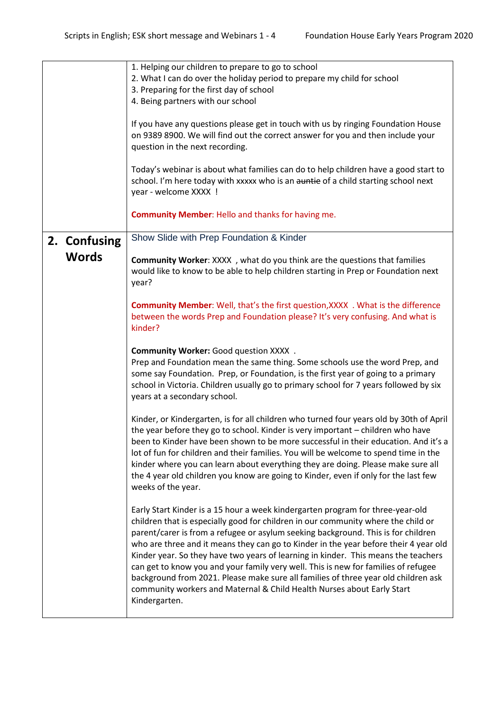|              | 1. Helping our children to prepare to go to school<br>2. What I can do over the holiday period to prepare my child for school<br>3. Preparing for the first day of school<br>4. Being partners with our school<br>If you have any questions please get in touch with us by ringing Foundation House<br>on 9389 8900. We will find out the correct answer for you and then include your<br>question in the next recording.                                                                                                                                                                                                                                                                                     |
|--------------|---------------------------------------------------------------------------------------------------------------------------------------------------------------------------------------------------------------------------------------------------------------------------------------------------------------------------------------------------------------------------------------------------------------------------------------------------------------------------------------------------------------------------------------------------------------------------------------------------------------------------------------------------------------------------------------------------------------|
|              | Today's webinar is about what families can do to help children have a good start to<br>school. I'm here today with xxxxx who is an auntie of a child starting school next<br>year - welcome XXXX !                                                                                                                                                                                                                                                                                                                                                                                                                                                                                                            |
|              | <b>Community Member: Hello and thanks for having me.</b>                                                                                                                                                                                                                                                                                                                                                                                                                                                                                                                                                                                                                                                      |
| 2. Confusing | Show Slide with Prep Foundation & Kinder                                                                                                                                                                                                                                                                                                                                                                                                                                                                                                                                                                                                                                                                      |
| <b>Words</b> | Community Worker: XXXX, what do you think are the questions that families<br>would like to know to be able to help children starting in Prep or Foundation next<br>year?                                                                                                                                                                                                                                                                                                                                                                                                                                                                                                                                      |
|              | <b>Community Member: Well, that's the first question, XXXX . What is the difference</b><br>between the words Prep and Foundation please? It's very confusing. And what is<br>kinder?                                                                                                                                                                                                                                                                                                                                                                                                                                                                                                                          |
|              | Community Worker: Good question XXXX .<br>Prep and Foundation mean the same thing. Some schools use the word Prep, and<br>some say Foundation. Prep, or Foundation, is the first year of going to a primary<br>school in Victoria. Children usually go to primary school for 7 years followed by six<br>years at a secondary school.                                                                                                                                                                                                                                                                                                                                                                          |
|              | Kinder, or Kindergarten, is for all children who turned four years old by 30th of April<br>the year before they go to school. Kinder is very important - children who have<br>been to Kinder have been shown to be more successful in their education. And it's a<br>lot of fun for children and their families. You will be welcome to spend time in the<br>kinder where you can learn about everything they are doing. Please make sure all<br>the 4 year old children you know are going to Kinder, even if only for the last few<br>weeks of the year.                                                                                                                                                    |
|              | Early Start Kinder is a 15 hour a week kindergarten program for three-year-old<br>children that is especially good for children in our community where the child or<br>parent/carer is from a refugee or asylum seeking background. This is for children<br>who are three and it means they can go to Kinder in the year before their 4 year old<br>Kinder year. So they have two years of learning in kinder. This means the teachers<br>can get to know you and your family very well. This is new for families of refugee<br>background from 2021. Please make sure all families of three year old children ask<br>community workers and Maternal & Child Health Nurses about Early Start<br>Kindergarten. |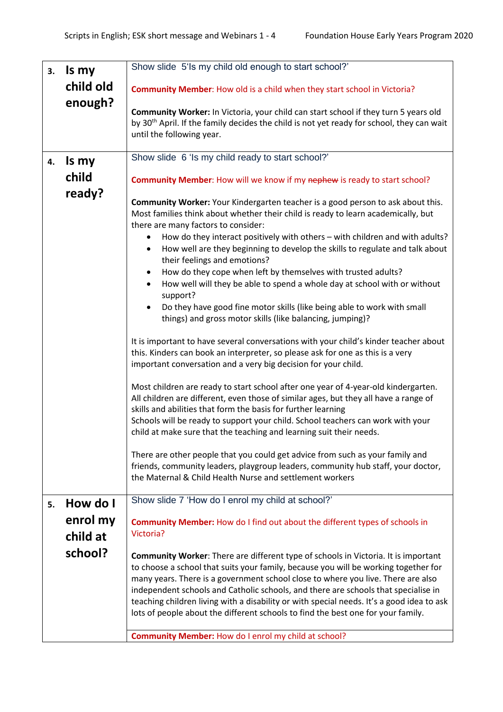| 3. | Is my     | Show slide 5'ls my child old enough to start school?'                                                                                                                      |
|----|-----------|----------------------------------------------------------------------------------------------------------------------------------------------------------------------------|
|    | child old |                                                                                                                                                                            |
|    |           | <b>Community Member:</b> How old is a child when they start school in Victoria?                                                                                            |
|    | enough?   | Community Worker: In Victoria, your child can start school if they turn 5 years old                                                                                        |
|    |           | by 30 <sup>th</sup> April. If the family decides the child is not yet ready for school, they can wait                                                                      |
|    |           | until the following year.                                                                                                                                                  |
|    |           |                                                                                                                                                                            |
| 4. | Is my     | Show slide 6 'ls my child ready to start school?'                                                                                                                          |
|    | child     | Community Member: How will we know if my nephew is ready to start school?                                                                                                  |
|    | ready?    |                                                                                                                                                                            |
|    |           | Community Worker: Your Kindergarten teacher is a good person to ask about this.                                                                                            |
|    |           | Most families think about whether their child is ready to learn academically, but<br>there are many factors to consider:                                                   |
|    |           | How do they interact positively with others - with children and with adults?                                                                                               |
|    |           | How well are they beginning to develop the skills to regulate and talk about<br>$\bullet$<br>their feelings and emotions?                                                  |
|    |           | How do they cope when left by themselves with trusted adults?<br>$\bullet$                                                                                                 |
|    |           | How well will they be able to spend a whole day at school with or without<br>$\bullet$<br>support?                                                                         |
|    |           | Do they have good fine motor skills (like being able to work with small                                                                                                    |
|    |           | things) and gross motor skills (like balancing, jumping)?                                                                                                                  |
|    |           | It is important to have several conversations with your child's kinder teacher about                                                                                       |
|    |           | this. Kinders can book an interpreter, so please ask for one as this is a very                                                                                             |
|    |           | important conversation and a very big decision for your child.                                                                                                             |
|    |           |                                                                                                                                                                            |
|    |           | Most children are ready to start school after one year of 4-year-old kindergarten.<br>All children are different, even those of similar ages, but they all have a range of |
|    |           | skills and abilities that form the basis for further learning                                                                                                              |
|    |           | Schools will be ready to support your child. School teachers can work with your                                                                                            |
|    |           | child at make sure that the teaching and learning suit their needs.                                                                                                        |
|    |           | There are other people that you could get advice from such as your family and                                                                                              |
|    |           | friends, community leaders, playgroup leaders, community hub staff, your doctor,                                                                                           |
|    |           | the Maternal & Child Health Nurse and settlement workers                                                                                                                   |
| 5. | How do I  | Show slide 7 'How do I enrol my child at school?'                                                                                                                          |
|    | enrol my  | <b>Community Member:</b> How do I find out about the different types of schools in                                                                                         |
|    | child at  | Victoria?                                                                                                                                                                  |
|    |           |                                                                                                                                                                            |
|    | school?   | Community Worker: There are different type of schools in Victoria. It is important                                                                                         |
|    |           | to choose a school that suits your family, because you will be working together for<br>many years. There is a government school close to where you live. There are also    |
|    |           | independent schools and Catholic schools, and there are schools that specialise in                                                                                         |
|    |           | teaching children living with a disability or with special needs. It's a good idea to ask                                                                                  |
|    |           | lots of people about the different schools to find the best one for your family.                                                                                           |
|    |           | <b>Community Member: How do I enrol my child at school?</b>                                                                                                                |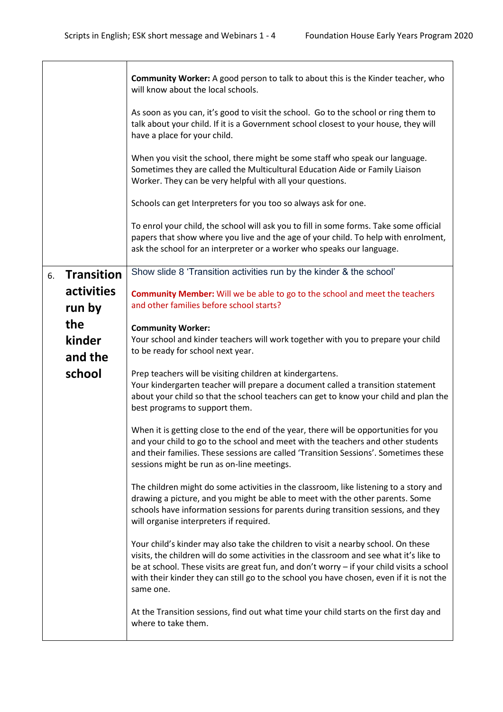|    |                   | <b>Community Worker:</b> A good person to talk to about this is the Kinder teacher, who<br>will know about the local schools.                                                                                                                                                                                                                                                      |
|----|-------------------|------------------------------------------------------------------------------------------------------------------------------------------------------------------------------------------------------------------------------------------------------------------------------------------------------------------------------------------------------------------------------------|
|    |                   | As soon as you can, it's good to visit the school. Go to the school or ring them to<br>talk about your child. If it is a Government school closest to your house, they will<br>have a place for your child.                                                                                                                                                                        |
|    |                   | When you visit the school, there might be some staff who speak our language.<br>Sometimes they are called the Multicultural Education Aide or Family Liaison<br>Worker. They can be very helpful with all your questions.                                                                                                                                                          |
|    |                   | Schools can get Interpreters for you too so always ask for one.                                                                                                                                                                                                                                                                                                                    |
|    |                   | To enrol your child, the school will ask you to fill in some forms. Take some official<br>papers that show where you live and the age of your child. To help with enrolment,<br>ask the school for an interpreter or a worker who speaks our language.                                                                                                                             |
| 6. | <b>Transition</b> | Show slide 8 'Transition activities run by the kinder & the school'                                                                                                                                                                                                                                                                                                                |
|    | activities        | <b>Community Member:</b> Will we be able to go to the school and meet the teachers                                                                                                                                                                                                                                                                                                 |
|    | run by            | and other families before school starts?                                                                                                                                                                                                                                                                                                                                           |
|    | the               | <b>Community Worker:</b>                                                                                                                                                                                                                                                                                                                                                           |
|    | kinder            | Your school and kinder teachers will work together with you to prepare your child<br>to be ready for school next year.                                                                                                                                                                                                                                                             |
|    | and the<br>school | Prep teachers will be visiting children at kindergartens.<br>Your kindergarten teacher will prepare a document called a transition statement<br>about your child so that the school teachers can get to know your child and plan the<br>best programs to support them.                                                                                                             |
|    |                   | When it is getting close to the end of the year, there will be opportunities for you<br>and your child to go to the school and meet with the teachers and other students<br>and their families. These sessions are called 'Transition Sessions'. Sometimes these<br>sessions might be run as on-line meetings.                                                                     |
|    |                   | The children might do some activities in the classroom, like listening to a story and<br>drawing a picture, and you might be able to meet with the other parents. Some<br>schools have information sessions for parents during transition sessions, and they<br>will organise interpreters if required.                                                                            |
|    |                   | Your child's kinder may also take the children to visit a nearby school. On these<br>visits, the children will do some activities in the classroom and see what it's like to<br>be at school. These visits are great fun, and don't worry - if your child visits a school<br>with their kinder they can still go to the school you have chosen, even if it is not the<br>same one. |
|    |                   | At the Transition sessions, find out what time your child starts on the first day and<br>where to take them.                                                                                                                                                                                                                                                                       |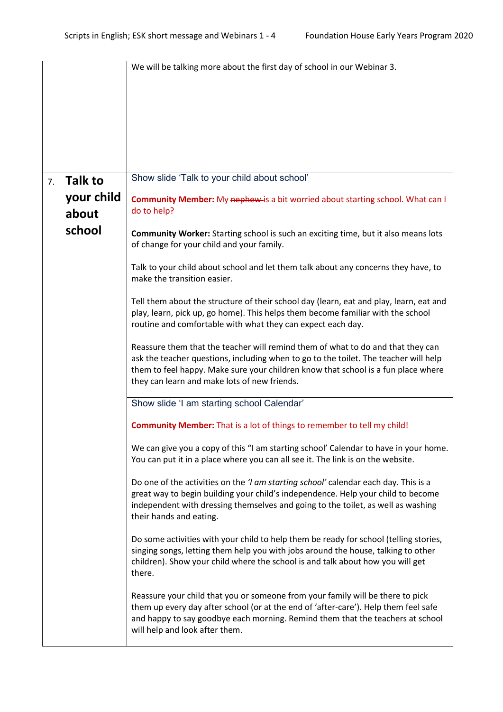|    |            | We will be talking more about the first day of school in our Webinar 3.                                                                                                                                                                                                                                      |
|----|------------|--------------------------------------------------------------------------------------------------------------------------------------------------------------------------------------------------------------------------------------------------------------------------------------------------------------|
|    |            |                                                                                                                                                                                                                                                                                                              |
|    |            |                                                                                                                                                                                                                                                                                                              |
|    |            |                                                                                                                                                                                                                                                                                                              |
|    |            |                                                                                                                                                                                                                                                                                                              |
|    |            |                                                                                                                                                                                                                                                                                                              |
|    |            |                                                                                                                                                                                                                                                                                                              |
|    |            |                                                                                                                                                                                                                                                                                                              |
| 7. | Talk to    | Show slide 'Talk to your child about school'                                                                                                                                                                                                                                                                 |
|    | your child | Community Member: My nephew-is a bit worried about starting school. What can I                                                                                                                                                                                                                               |
|    | about      | do to help?                                                                                                                                                                                                                                                                                                  |
|    | school     |                                                                                                                                                                                                                                                                                                              |
|    |            | Community Worker: Starting school is such an exciting time, but it also means lots<br>of change for your child and your family.                                                                                                                                                                              |
|    |            | Talk to your child about school and let them talk about any concerns they have, to<br>make the transition easier.                                                                                                                                                                                            |
|    |            | Tell them about the structure of their school day (learn, eat and play, learn, eat and<br>play, learn, pick up, go home). This helps them become familiar with the school<br>routine and comfortable with what they can expect each day.                                                                     |
|    |            | Reassure them that the teacher will remind them of what to do and that they can<br>ask the teacher questions, including when to go to the toilet. The teacher will help<br>them to feel happy. Make sure your children know that school is a fun place where<br>they can learn and make lots of new friends. |
|    |            | Show slide 'I am starting school Calendar'                                                                                                                                                                                                                                                                   |
|    |            | <b>Community Member:</b> That is a lot of things to remember to tell my child!                                                                                                                                                                                                                               |
|    |            | We can give you a copy of this "I am starting school' Calendar to have in your home.<br>You can put it in a place where you can all see it. The link is on the website.                                                                                                                                      |
|    |            | Do one of the activities on the ' <i>I am starting school'</i> calendar each day. This is a<br>great way to begin building your child's independence. Help your child to become<br>independent with dressing themselves and going to the toilet, as well as washing<br>their hands and eating.               |
|    |            | Do some activities with your child to help them be ready for school (telling stories,<br>singing songs, letting them help you with jobs around the house, talking to other<br>children). Show your child where the school is and talk about how you will get<br>there.                                       |
|    |            | Reassure your child that you or someone from your family will be there to pick<br>them up every day after school (or at the end of 'after-care'). Help them feel safe<br>and happy to say goodbye each morning. Remind them that the teachers at school<br>will help and look after them.                    |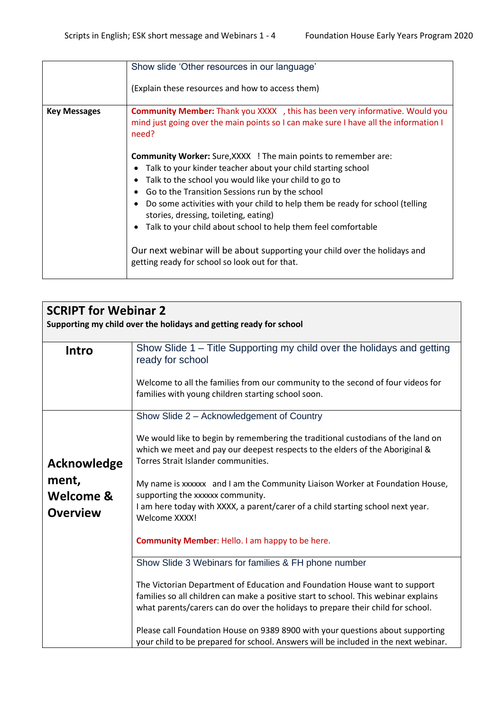|                     | Show slide 'Other resources in our language'<br>(Explain these resources and how to access them)                                                                                                                                                                                                                                                                                                                                                                                                                                                                                                                                                                                                                   |
|---------------------|--------------------------------------------------------------------------------------------------------------------------------------------------------------------------------------------------------------------------------------------------------------------------------------------------------------------------------------------------------------------------------------------------------------------------------------------------------------------------------------------------------------------------------------------------------------------------------------------------------------------------------------------------------------------------------------------------------------------|
| <b>Key Messages</b> | <b>Community Member:</b> Thank you XXXX , this has been very informative. Would you<br>mind just going over the main points so I can make sure I have all the information I<br>need?<br><b>Community Worker:</b> Sure, XXXX ! The main points to remember are:<br>Talk to your kinder teacher about your child starting school<br>Talk to the school you would like your child to go to<br>Go to the Transition Sessions run by the school<br>Do some activities with your child to help them be ready for school (telling<br>stories, dressing, toileting, eating)<br>Talk to your child about school to help them feel comfortable<br>Our next webinar will be about supporting your child over the holidays and |
|                     | getting ready for school so look out for that.                                                                                                                                                                                                                                                                                                                                                                                                                                                                                                                                                                                                                                                                     |

| <b>SCRIPT for Webinar 2</b>                                        |                                                                                                                                                                                                                                                                                                                                        |  |
|--------------------------------------------------------------------|----------------------------------------------------------------------------------------------------------------------------------------------------------------------------------------------------------------------------------------------------------------------------------------------------------------------------------------|--|
| Supporting my child over the holidays and getting ready for school |                                                                                                                                                                                                                                                                                                                                        |  |
| Intro                                                              | Show Slide 1 – Title Supporting my child over the holidays and getting<br>ready for school                                                                                                                                                                                                                                             |  |
|                                                                    | Welcome to all the families from our community to the second of four videos for<br>families with young children starting school soon.                                                                                                                                                                                                  |  |
|                                                                    | Show Slide 2 - Acknowledgement of Country                                                                                                                                                                                                                                                                                              |  |
| Acknowledge                                                        | We would like to begin by remembering the traditional custodians of the land on<br>which we meet and pay our deepest respects to the elders of the Aboriginal &<br>Torres Strait Islander communities.                                                                                                                                 |  |
| ment,<br><b>Welcome &amp;</b><br><b>Overview</b>                   | My name is xxxxxx and I am the Community Liaison Worker at Foundation House,<br>supporting the xxxxxx community.<br>I am here today with XXXX, a parent/carer of a child starting school next year.<br>Welcome XXXX!                                                                                                                   |  |
|                                                                    | <b>Community Member: Hello. I am happy to be here.</b>                                                                                                                                                                                                                                                                                 |  |
|                                                                    | Show Slide 3 Webinars for families & FH phone number                                                                                                                                                                                                                                                                                   |  |
|                                                                    | The Victorian Department of Education and Foundation House want to support<br>families so all children can make a positive start to school. This webinar explains<br>what parents/carers can do over the holidays to prepare their child for school.<br>Please call Foundation House on 9389 8900 with your questions about supporting |  |
|                                                                    | your child to be prepared for school. Answers will be included in the next webinar.                                                                                                                                                                                                                                                    |  |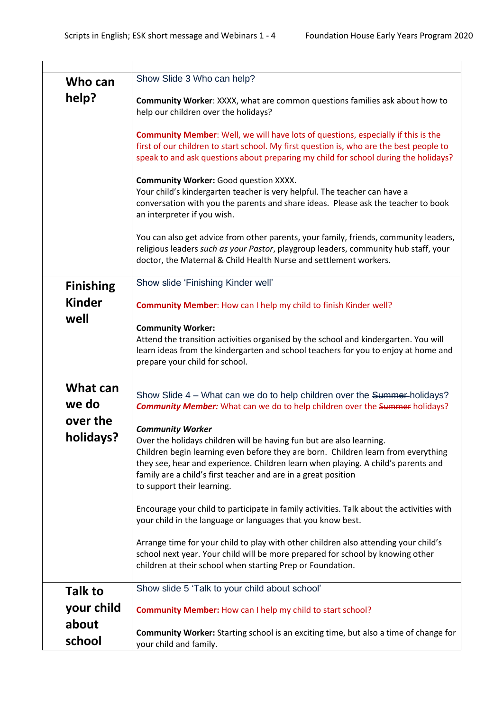| Who can               | Show Slide 3 Who can help?                                                                                                                                                                                                                                                                                                                                                |
|-----------------------|---------------------------------------------------------------------------------------------------------------------------------------------------------------------------------------------------------------------------------------------------------------------------------------------------------------------------------------------------------------------------|
| help?                 | Community Worker: XXXX, what are common questions families ask about how to<br>help our children over the holidays?                                                                                                                                                                                                                                                       |
|                       | <b>Community Member:</b> Well, we will have lots of questions, especially if this is the<br>first of our children to start school. My first question is, who are the best people to<br>speak to and ask questions about preparing my child for school during the holidays?                                                                                                |
|                       | <b>Community Worker: Good question XXXX.</b><br>Your child's kindergarten teacher is very helpful. The teacher can have a<br>conversation with you the parents and share ideas. Please ask the teacher to book<br>an interpreter if you wish.                                                                                                                             |
|                       | You can also get advice from other parents, your family, friends, community leaders,<br>religious leaders such as your Pastor, playgroup leaders, community hub staff, your<br>doctor, the Maternal & Child Health Nurse and settlement workers.                                                                                                                          |
| <b>Finishing</b>      | Show slide 'Finishing Kinder well'                                                                                                                                                                                                                                                                                                                                        |
| <b>Kinder</b><br>well | <b>Community Member:</b> How can I help my child to finish Kinder well?                                                                                                                                                                                                                                                                                                   |
|                       | <b>Community Worker:</b><br>Attend the transition activities organised by the school and kindergarten. You will<br>learn ideas from the kindergarten and school teachers for you to enjoy at home and<br>prepare your child for school.                                                                                                                                   |
| What can<br>we do     | Show Slide 4 – What can we do to help children over the Summer-holidays?<br><b>Community Member:</b> What can we do to help children over the Summer holidays?                                                                                                                                                                                                            |
| over the<br>holidays? | <b>Community Worker</b><br>Over the holidays children will be having fun but are also learning.<br>Children begin learning even before they are born. Children learn from everything<br>they see, hear and experience. Children learn when playing. A child's parents and<br>family are a child's first teacher and are in a great position<br>to support their learning. |
|                       | Encourage your child to participate in family activities. Talk about the activities with<br>your child in the language or languages that you know best.                                                                                                                                                                                                                   |
|                       | Arrange time for your child to play with other children also attending your child's<br>school next year. Your child will be more prepared for school by knowing other<br>children at their school when starting Prep or Foundation.                                                                                                                                       |
| <b>Talk to</b>        | Show slide 5 'Talk to your child about school'                                                                                                                                                                                                                                                                                                                            |
| your child            | Community Member: How can I help my child to start school?                                                                                                                                                                                                                                                                                                                |
| about                 | <b>Community Worker:</b> Starting school is an exciting time, but also a time of change for                                                                                                                                                                                                                                                                               |
| school                | your child and family.                                                                                                                                                                                                                                                                                                                                                    |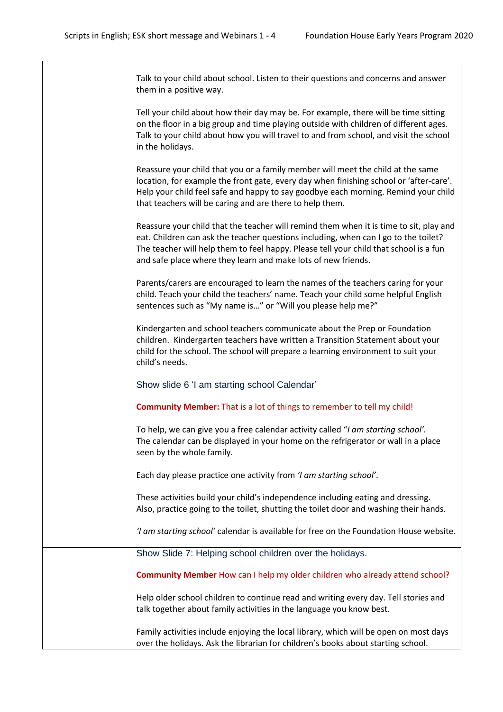| Talk to your child about school. Listen to their questions and concerns and answer<br>them in a positive way.                                                                                                                                                                                                                           |
|-----------------------------------------------------------------------------------------------------------------------------------------------------------------------------------------------------------------------------------------------------------------------------------------------------------------------------------------|
| Tell your child about how their day may be. For example, there will be time sitting<br>on the floor in a big group and time playing outside with children of different ages.<br>Talk to your child about how you will travel to and from school, and visit the school<br>in the holidays.                                               |
| Reassure your child that you or a family member will meet the child at the same<br>location, for example the front gate, every day when finishing school or 'after-care'.<br>Help your child feel safe and happy to say goodbye each morning. Remind your child<br>that teachers will be caring and are there to help them.             |
| Reassure your child that the teacher will remind them when it is time to sit, play and<br>eat. Children can ask the teacher questions including, when can I go to the toilet?<br>The teacher will help them to feel happy. Please tell your child that school is a fun<br>and safe place where they learn and make lots of new friends. |
| Parents/carers are encouraged to learn the names of the teachers caring for your<br>child. Teach your child the teachers' name. Teach your child some helpful English<br>sentences such as "My name is" or "Will you please help me?"                                                                                                   |
| Kindergarten and school teachers communicate about the Prep or Foundation<br>children. Kindergarten teachers have written a Transition Statement about your<br>child for the school. The school will prepare a learning environment to suit your<br>child's needs.                                                                      |
| Show slide 6 'I am starting school Calendar'                                                                                                                                                                                                                                                                                            |
| <b>Community Member:</b> That is a lot of things to remember to tell my child!                                                                                                                                                                                                                                                          |
| To help, we can give you a free calendar activity called "I am starting school".<br>The calendar can be displayed in your home on the refrigerator or wall in a place<br>seen by the whole family.                                                                                                                                      |
| Each day please practice one activity from 'I am starting school'.                                                                                                                                                                                                                                                                      |
| These activities build your child's independence including eating and dressing.<br>Also, practice going to the toilet, shutting the toilet door and washing their hands.                                                                                                                                                                |
| 'I am starting school' calendar is available for free on the Foundation House website.                                                                                                                                                                                                                                                  |
| Show Slide 7: Helping school children over the holidays.                                                                                                                                                                                                                                                                                |
| Community Member How can I help my older children who already attend school?                                                                                                                                                                                                                                                            |
| Help older school children to continue read and writing every day. Tell stories and<br>talk together about family activities in the language you know best.                                                                                                                                                                             |
| Family activities include enjoying the local library, which will be open on most days<br>over the holidays. Ask the librarian for children's books about starting school.                                                                                                                                                               |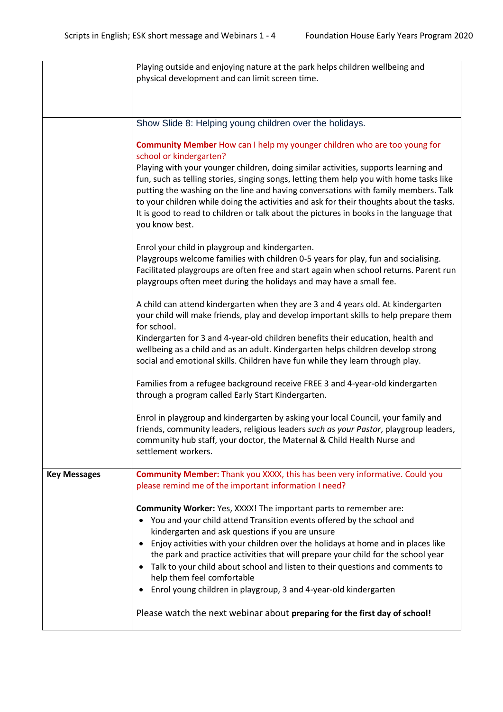|                     | Playing outside and enjoying nature at the park helps children wellbeing and<br>physical development and can limit screen time.                                                                                                                                                                                                                                                                                                                                                                                                                                                                                                                                              |
|---------------------|------------------------------------------------------------------------------------------------------------------------------------------------------------------------------------------------------------------------------------------------------------------------------------------------------------------------------------------------------------------------------------------------------------------------------------------------------------------------------------------------------------------------------------------------------------------------------------------------------------------------------------------------------------------------------|
|                     |                                                                                                                                                                                                                                                                                                                                                                                                                                                                                                                                                                                                                                                                              |
|                     |                                                                                                                                                                                                                                                                                                                                                                                                                                                                                                                                                                                                                                                                              |
|                     | Show Slide 8: Helping young children over the holidays.                                                                                                                                                                                                                                                                                                                                                                                                                                                                                                                                                                                                                      |
|                     | Community Member How can I help my younger children who are too young for<br>school or kindergarten?                                                                                                                                                                                                                                                                                                                                                                                                                                                                                                                                                                         |
|                     | Playing with your younger children, doing similar activities, supports learning and<br>fun, such as telling stories, singing songs, letting them help you with home tasks like<br>putting the washing on the line and having conversations with family members. Talk<br>to your children while doing the activities and ask for their thoughts about the tasks.<br>It is good to read to children or talk about the pictures in books in the language that<br>you know best.                                                                                                                                                                                                 |
|                     | Enrol your child in playgroup and kindergarten.                                                                                                                                                                                                                                                                                                                                                                                                                                                                                                                                                                                                                              |
|                     | Playgroups welcome families with children 0-5 years for play, fun and socialising.<br>Facilitated playgroups are often free and start again when school returns. Parent run<br>playgroups often meet during the holidays and may have a small fee.                                                                                                                                                                                                                                                                                                                                                                                                                           |
|                     | A child can attend kindergarten when they are 3 and 4 years old. At kindergarten<br>your child will make friends, play and develop important skills to help prepare them<br>for school.                                                                                                                                                                                                                                                                                                                                                                                                                                                                                      |
|                     | Kindergarten for 3 and 4-year-old children benefits their education, health and<br>wellbeing as a child and as an adult. Kindergarten helps children develop strong<br>social and emotional skills. Children have fun while they learn through play.                                                                                                                                                                                                                                                                                                                                                                                                                         |
|                     | Families from a refugee background receive FREE 3 and 4-year-old kindergarten<br>through a program called Early Start Kindergarten.                                                                                                                                                                                                                                                                                                                                                                                                                                                                                                                                          |
|                     | Enrol in playgroup and kindergarten by asking your local Council, your family and<br>friends, community leaders, religious leaders such as your Pastor, playgroup leaders,<br>community hub staff, your doctor, the Maternal & Child Health Nurse and<br>settlement workers.                                                                                                                                                                                                                                                                                                                                                                                                 |
| <b>Key Messages</b> | <b>Community Member:</b> Thank you XXXX, this has been very informative. Could you<br>please remind me of the important information I need?                                                                                                                                                                                                                                                                                                                                                                                                                                                                                                                                  |
|                     | Community Worker: Yes, XXXX! The important parts to remember are:<br>You and your child attend Transition events offered by the school and<br>$\bullet$<br>kindergarten and ask questions if you are unsure<br>Enjoy activities with your children over the holidays at home and in places like<br>$\bullet$<br>the park and practice activities that will prepare your child for the school year<br>Talk to your child about school and listen to their questions and comments to<br>٠<br>help them feel comfortable<br>Enrol young children in playgroup, 3 and 4-year-old kindergarten<br>٠<br>Please watch the next webinar about preparing for the first day of school! |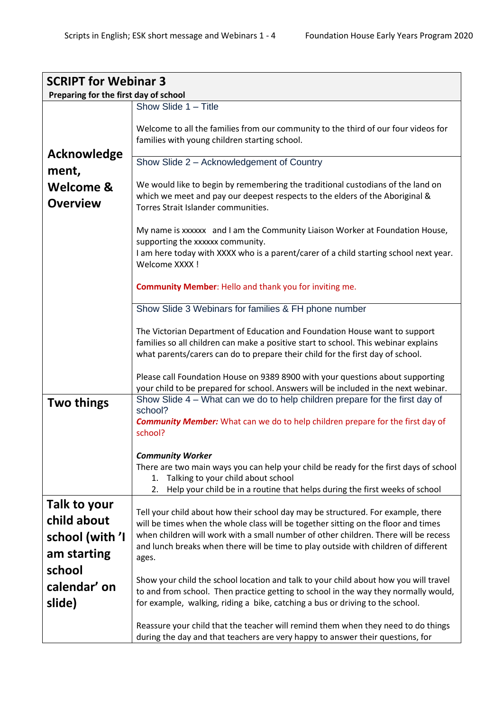| <b>SCRIPT for Webinar 3</b>           |                                                                                                                                                                                                                                                     |  |
|---------------------------------------|-----------------------------------------------------------------------------------------------------------------------------------------------------------------------------------------------------------------------------------------------------|--|
| Preparing for the first day of school |                                                                                                                                                                                                                                                     |  |
|                                       | Show Slide 1 - Title                                                                                                                                                                                                                                |  |
|                                       | Welcome to all the families from our community to the third of our four videos for<br>families with young children starting school.                                                                                                                 |  |
| <b>Acknowledge</b>                    | Show Slide 2 - Acknowledgement of Country                                                                                                                                                                                                           |  |
| ment,                                 |                                                                                                                                                                                                                                                     |  |
| <b>Welcome &amp;</b>                  | We would like to begin by remembering the traditional custodians of the land on                                                                                                                                                                     |  |
|                                       | which we meet and pay our deepest respects to the elders of the Aboriginal &                                                                                                                                                                        |  |
| <b>Overview</b>                       | Torres Strait Islander communities.                                                                                                                                                                                                                 |  |
|                                       | My name is xxxxxx and I am the Community Liaison Worker at Foundation House,<br>supporting the xxxxxx community.<br>I am here today with XXXX who is a parent/carer of a child starting school next year.<br>Welcome XXXX !                         |  |
|                                       | <b>Community Member: Hello and thank you for inviting me.</b>                                                                                                                                                                                       |  |
|                                       | Show Slide 3 Webinars for families & FH phone number                                                                                                                                                                                                |  |
|                                       | The Victorian Department of Education and Foundation House want to support<br>families so all children can make a positive start to school. This webinar explains<br>what parents/carers can do to prepare their child for the first day of school. |  |
|                                       | Please call Foundation House on 9389 8900 with your questions about supporting<br>your child to be prepared for school. Answers will be included in the next webinar.                                                                               |  |
| <b>Two things</b>                     | Show Slide 4 – What can we do to help children prepare for the first day of                                                                                                                                                                         |  |
|                                       | school?                                                                                                                                                                                                                                             |  |
|                                       | <b>Community Member:</b> What can we do to help children prepare for the first day of<br>school?                                                                                                                                                    |  |
|                                       |                                                                                                                                                                                                                                                     |  |
|                                       | <b>Community Worker</b>                                                                                                                                                                                                                             |  |
|                                       | There are two main ways you can help your child be ready for the first days of school<br>Talking to your child about school<br>1.                                                                                                                   |  |
|                                       | Help your child be in a routine that helps during the first weeks of school<br>2.                                                                                                                                                                   |  |
| Talk to your                          |                                                                                                                                                                                                                                                     |  |
|                                       | Tell your child about how their school day may be structured. For example, there                                                                                                                                                                    |  |
| child about                           | will be times when the whole class will be together sitting on the floor and times                                                                                                                                                                  |  |
| school (with 'I                       | when children will work with a small number of other children. There will be recess                                                                                                                                                                 |  |
| am starting                           | and lunch breaks when there will be time to play outside with children of different                                                                                                                                                                 |  |
| school                                | ages.                                                                                                                                                                                                                                               |  |
|                                       | Show your child the school location and talk to your child about how you will travel                                                                                                                                                                |  |
| calendar' on                          | to and from school. Then practice getting to school in the way they normally would,                                                                                                                                                                 |  |
| slide)                                | for example, walking, riding a bike, catching a bus or driving to the school.                                                                                                                                                                       |  |
|                                       |                                                                                                                                                                                                                                                     |  |
|                                       | Reassure your child that the teacher will remind them when they need to do things<br>during the day and that teachers are very happy to answer their questions, for                                                                                 |  |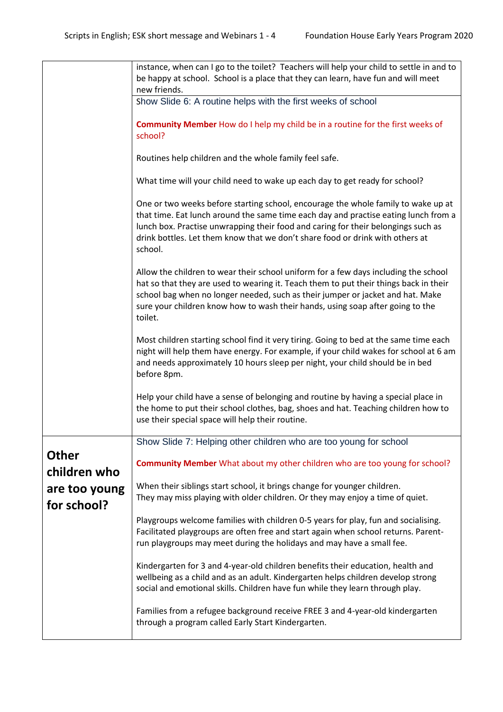|                              | instance, when can I go to the toilet? Teachers will help your child to settle in and to                                                                                                                                                                                                                                                                    |
|------------------------------|-------------------------------------------------------------------------------------------------------------------------------------------------------------------------------------------------------------------------------------------------------------------------------------------------------------------------------------------------------------|
|                              | be happy at school. School is a place that they can learn, have fun and will meet                                                                                                                                                                                                                                                                           |
|                              | new friends.                                                                                                                                                                                                                                                                                                                                                |
|                              | Show Slide 6: A routine helps with the first weeks of school                                                                                                                                                                                                                                                                                                |
|                              | Community Member How do I help my child be in a routine for the first weeks of<br>school?                                                                                                                                                                                                                                                                   |
|                              | Routines help children and the whole family feel safe.                                                                                                                                                                                                                                                                                                      |
|                              | What time will your child need to wake up each day to get ready for school?                                                                                                                                                                                                                                                                                 |
|                              | One or two weeks before starting school, encourage the whole family to wake up at<br>that time. Eat lunch around the same time each day and practise eating lunch from a<br>lunch box. Practise unwrapping their food and caring for their belongings such as<br>drink bottles. Let them know that we don't share food or drink with others at<br>school.   |
|                              | Allow the children to wear their school uniform for a few days including the school<br>hat so that they are used to wearing it. Teach them to put their things back in their<br>school bag when no longer needed, such as their jumper or jacket and hat. Make<br>sure your children know how to wash their hands, using soap after going to the<br>toilet. |
|                              | Most children starting school find it very tiring. Going to bed at the same time each<br>night will help them have energy. For example, if your child wakes for school at 6 am<br>and needs approximately 10 hours sleep per night, your child should be in bed<br>before 8pm.                                                                              |
|                              | Help your child have a sense of belonging and routine by having a special place in<br>the home to put their school clothes, bag, shoes and hat. Teaching children how to<br>use their special space will help their routine.                                                                                                                                |
|                              | Show Slide 7: Helping other children who are too young for school                                                                                                                                                                                                                                                                                           |
| <b>Other</b><br>children who | Community Member What about my other children who are too young for school?                                                                                                                                                                                                                                                                                 |
| are too young<br>for school? | When their siblings start school, it brings change for younger children.<br>They may miss playing with older children. Or they may enjoy a time of quiet.                                                                                                                                                                                                   |
|                              | Playgroups welcome families with children 0-5 years for play, fun and socialising.<br>Facilitated playgroups are often free and start again when school returns. Parent-<br>run playgroups may meet during the holidays and may have a small fee.                                                                                                           |
|                              | Kindergarten for 3 and 4-year-old children benefits their education, health and<br>wellbeing as a child and as an adult. Kindergarten helps children develop strong<br>social and emotional skills. Children have fun while they learn through play.                                                                                                        |
|                              | Families from a refugee background receive FREE 3 and 4-year-old kindergarten<br>through a program called Early Start Kindergarten.                                                                                                                                                                                                                         |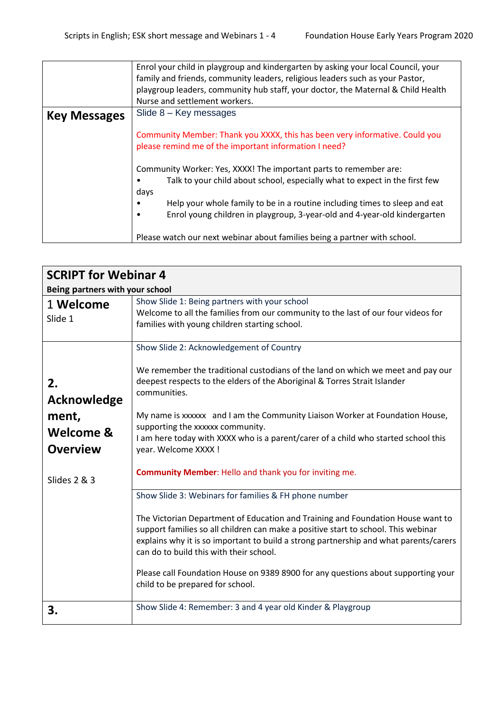|                     | Enrol your child in playgroup and kindergarten by asking your local Council, your<br>family and friends, community leaders, religious leaders such as your Pastor,<br>playgroup leaders, community hub staff, your doctor, the Maternal & Child Health |
|---------------------|--------------------------------------------------------------------------------------------------------------------------------------------------------------------------------------------------------------------------------------------------------|
|                     | Nurse and settlement workers.                                                                                                                                                                                                                          |
| <b>Key Messages</b> | Slide $8 -$ Key messages                                                                                                                                                                                                                               |
|                     | Community Member: Thank you XXXX, this has been very informative. Could you<br>please remind me of the important information I need?                                                                                                                   |
|                     | Community Worker: Yes, XXXX! The important parts to remember are:<br>Talk to your child about school, especially what to expect in the first few<br>days                                                                                               |
|                     | Help your whole family to be in a routine including times to sleep and eat<br>Enrol young children in playgroup, 3-year-old and 4-year-old kindergarten                                                                                                |
|                     | Please watch our next webinar about families being a partner with school.                                                                                                                                                                              |

| <b>SCRIPT for Webinar 4</b>                                       |                                                                                                                                                                                                                                                                                                                                                                                                                                                                                             |  |
|-------------------------------------------------------------------|---------------------------------------------------------------------------------------------------------------------------------------------------------------------------------------------------------------------------------------------------------------------------------------------------------------------------------------------------------------------------------------------------------------------------------------------------------------------------------------------|--|
| Being partners with your school                                   |                                                                                                                                                                                                                                                                                                                                                                                                                                                                                             |  |
| 1 Welcome<br>Slide 1                                              | Show Slide 1: Being partners with your school<br>Welcome to all the families from our community to the last of our four videos for<br>families with young children starting school.                                                                                                                                                                                                                                                                                                         |  |
| 2.<br><b>Acknowledge</b><br>ment,<br>Welcome &<br><b>Overview</b> | Show Slide 2: Acknowledgement of Country<br>We remember the traditional custodians of the land on which we meet and pay our<br>deepest respects to the elders of the Aboriginal & Torres Strait Islander<br>communities.<br>My name is xxxxxx and I am the Community Liaison Worker at Foundation House,<br>supporting the xxxxxx community.<br>I am here today with XXXX who is a parent/carer of a child who started school this<br>year. Welcome XXXX !                                  |  |
| Slides 2 & 3                                                      | <b>Community Member: Hello and thank you for inviting me.</b>                                                                                                                                                                                                                                                                                                                                                                                                                               |  |
|                                                                   | Show Slide 3: Webinars for families & FH phone number<br>The Victorian Department of Education and Training and Foundation House want to<br>support families so all children can make a positive start to school. This webinar<br>explains why it is so important to build a strong partnership and what parents/carers<br>can do to build this with their school.<br>Please call Foundation House on 9389 8900 for any questions about supporting your<br>child to be prepared for school. |  |
| 3.                                                                | Show Slide 4: Remember: 3 and 4 year old Kinder & Playgroup                                                                                                                                                                                                                                                                                                                                                                                                                                 |  |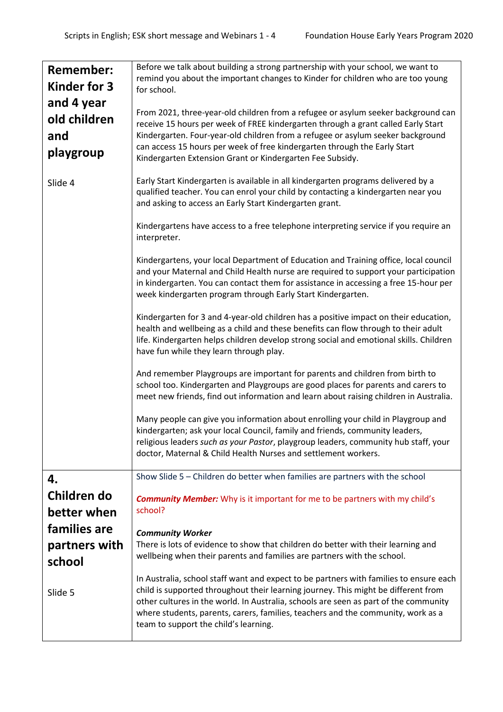| <b>Remember:</b> | Before we talk about building a strong partnership with your school, we want to                                                                                            |
|------------------|----------------------------------------------------------------------------------------------------------------------------------------------------------------------------|
| Kinder for 3     | remind you about the important changes to Kinder for children who are too young<br>for school.                                                                             |
| and 4 year       |                                                                                                                                                                            |
| old children     | From 2021, three-year-old children from a refugee or asylum seeker background can<br>receive 15 hours per week of FREE kindergarten through a grant called Early Start     |
| and              | Kindergarten. Four-year-old children from a refugee or asylum seeker background                                                                                            |
| playgroup        | can access 15 hours per week of free kindergarten through the Early Start                                                                                                  |
|                  | Kindergarten Extension Grant or Kindergarten Fee Subsidy.                                                                                                                  |
| Slide 4          | Early Start Kindergarten is available in all kindergarten programs delivered by a                                                                                          |
|                  | qualified teacher. You can enrol your child by contacting a kindergarten near you                                                                                          |
|                  | and asking to access an Early Start Kindergarten grant.                                                                                                                    |
|                  | Kindergartens have access to a free telephone interpreting service if you require an<br>interpreter.                                                                       |
|                  | Kindergartens, your local Department of Education and Training office, local council                                                                                       |
|                  | and your Maternal and Child Health nurse are required to support your participation                                                                                        |
|                  | in kindergarten. You can contact them for assistance in accessing a free 15-hour per<br>week kindergarten program through Early Start Kindergarten.                        |
|                  |                                                                                                                                                                            |
|                  | Kindergarten for 3 and 4-year-old children has a positive impact on their education,<br>health and wellbeing as a child and these benefits can flow through to their adult |
|                  | life. Kindergarten helps children develop strong social and emotional skills. Children                                                                                     |
|                  | have fun while they learn through play.                                                                                                                                    |
|                  | And remember Playgroups are important for parents and children from birth to                                                                                               |
|                  | school too. Kindergarten and Playgroups are good places for parents and carers to                                                                                          |
|                  | meet new friends, find out information and learn about raising children in Australia.                                                                                      |
|                  | Many people can give you information about enrolling your child in Playgroup and                                                                                           |
|                  | kindergarten; ask your local Council, family and friends, community leaders,                                                                                               |
|                  | religious leaders such as your Pastor, playgroup leaders, community hub staff, your<br>doctor, Maternal & Child Health Nurses and settlement workers.                      |
|                  |                                                                                                                                                                            |
| 4.               | Show Slide 5 - Children do better when families are partners with the school                                                                                               |
| Children do      | <b>Community Member:</b> Why is it important for me to be partners with my child's                                                                                         |
| better when      | school?                                                                                                                                                                    |
| families are     | <b>Community Worker</b>                                                                                                                                                    |
| partners with    | There is lots of evidence to show that children do better with their learning and                                                                                          |
| school           | wellbeing when their parents and families are partners with the school.                                                                                                    |
|                  | In Australia, school staff want and expect to be partners with families to ensure each                                                                                     |
| Slide 5          | child is supported throughout their learning journey. This might be different from                                                                                         |
|                  | other cultures in the world. In Australia, schools are seen as part of the community<br>where students, parents, carers, families, teachers and the community, work as a   |
|                  | team to support the child's learning.                                                                                                                                      |
|                  |                                                                                                                                                                            |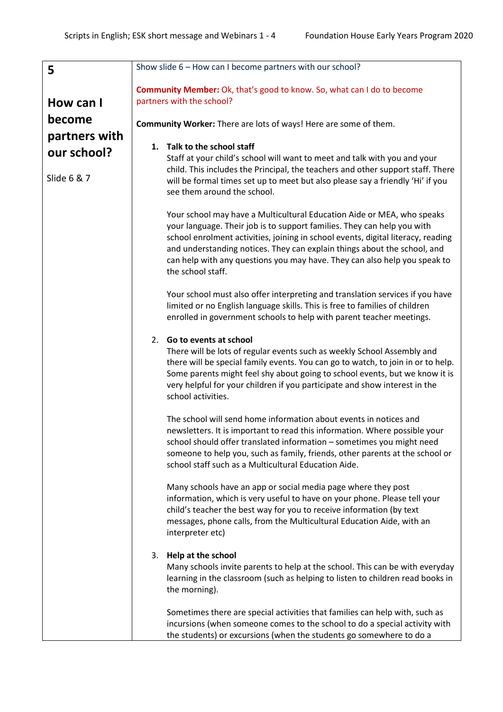| 5             | Show slide 6 - How can I become partners with our school?                                                                                                                                                                                                                                                                                                                                                           |
|---------------|---------------------------------------------------------------------------------------------------------------------------------------------------------------------------------------------------------------------------------------------------------------------------------------------------------------------------------------------------------------------------------------------------------------------|
|               | <b>Community Member:</b> Ok, that's good to know. So, what can I do to become                                                                                                                                                                                                                                                                                                                                       |
| How can I     | partners with the school?                                                                                                                                                                                                                                                                                                                                                                                           |
| become        | Community Worker: There are lots of ways! Here are some of them.                                                                                                                                                                                                                                                                                                                                                    |
| partners with |                                                                                                                                                                                                                                                                                                                                                                                                                     |
| our school?   | 1. Talk to the school staff<br>Staff at your child's school will want to meet and talk with you and your                                                                                                                                                                                                                                                                                                            |
|               | child. This includes the Principal, the teachers and other support staff. There                                                                                                                                                                                                                                                                                                                                     |
| Slide 6 & 7   | will be formal times set up to meet but also please say a friendly 'Hi' if you<br>see them around the school.                                                                                                                                                                                                                                                                                                       |
|               | Your school may have a Multicultural Education Aide or MEA, who speaks<br>your language. Their job is to support families. They can help you with<br>school enrolment activities, joining in school events, digital literacy, reading<br>and understanding notices. They can explain things about the school, and<br>can help with any questions you may have. They can also help you speak to<br>the school staff. |
|               | Your school must also offer interpreting and translation services if you have<br>limited or no English language skills. This is free to families of children<br>enrolled in government schools to help with parent teacher meetings.                                                                                                                                                                                |
|               | 2. Go to events at school<br>There will be lots of regular events such as weekly School Assembly and<br>there will be special family events. You can go to watch, to join in or to help.<br>Some parents might feel shy about going to school events, but we know it is<br>very helpful for your children if you participate and show interest in the<br>school activities.                                         |
|               | The school will send home information about events in notices and<br>newsletters. It is important to read this information. Where possible your<br>school should offer translated information - sometimes you might need<br>someone to help you, such as family, friends, other parents at the school or<br>school staff such as a Multicultural Education Aide.                                                    |
|               | Many schools have an app or social media page where they post<br>information, which is very useful to have on your phone. Please tell your<br>child's teacher the best way for you to receive information (by text<br>messages, phone calls, from the Multicultural Education Aide, with an<br>interpreter etc)                                                                                                     |
|               | Help at the school<br>3.<br>Many schools invite parents to help at the school. This can be with everyday<br>learning in the classroom (such as helping to listen to children read books in<br>the morning).                                                                                                                                                                                                         |
|               | Sometimes there are special activities that families can help with, such as<br>incursions (when someone comes to the school to do a special activity with<br>the students) or excursions (when the students go somewhere to do a                                                                                                                                                                                    |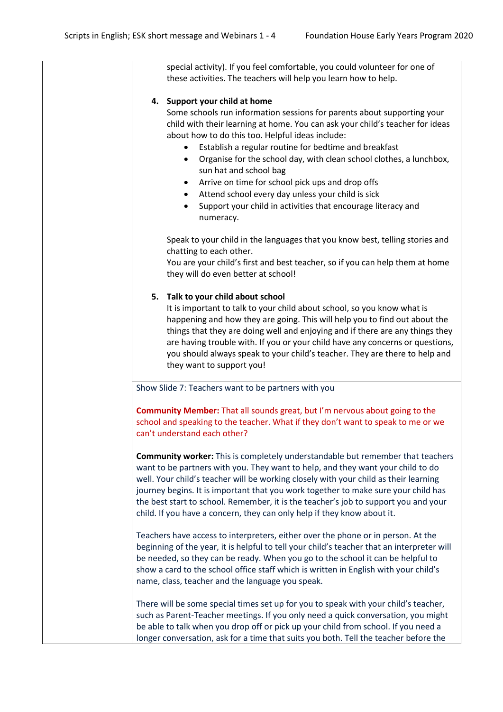|    | special activity). If you feel comfortable, you could volunteer for one of                                                                                                                                                                                                                                                                                                                                                                                                                                                                                                                                       |
|----|------------------------------------------------------------------------------------------------------------------------------------------------------------------------------------------------------------------------------------------------------------------------------------------------------------------------------------------------------------------------------------------------------------------------------------------------------------------------------------------------------------------------------------------------------------------------------------------------------------------|
|    | these activities. The teachers will help you learn how to help.                                                                                                                                                                                                                                                                                                                                                                                                                                                                                                                                                  |
|    | 4. Support your child at home                                                                                                                                                                                                                                                                                                                                                                                                                                                                                                                                                                                    |
|    | Some schools run information sessions for parents about supporting your<br>child with their learning at home. You can ask your child's teacher for ideas<br>about how to do this too. Helpful ideas include:<br>Establish a regular routine for bedtime and breakfast<br>Organise for the school day, with clean school clothes, a lunchbox,<br>$\bullet$<br>sun hat and school bag<br>Arrive on time for school pick ups and drop offs<br>$\bullet$<br>Attend school every day unless your child is sick<br>$\bullet$<br>Support your child in activities that encourage literacy and<br>$\bullet$<br>numeracy. |
|    | Speak to your child in the languages that you know best, telling stories and<br>chatting to each other.                                                                                                                                                                                                                                                                                                                                                                                                                                                                                                          |
|    | You are your child's first and best teacher, so if you can help them at home<br>they will do even better at school!                                                                                                                                                                                                                                                                                                                                                                                                                                                                                              |
| 5. | Talk to your child about school                                                                                                                                                                                                                                                                                                                                                                                                                                                                                                                                                                                  |
|    | It is important to talk to your child about school, so you know what is<br>happening and how they are going. This will help you to find out about the<br>things that they are doing well and enjoying and if there are any things they<br>are having trouble with. If you or your child have any concerns or questions,<br>you should always speak to your child's teacher. They are there to help and<br>they want to support you!                                                                                                                                                                              |
|    | Show Slide 7: Teachers want to be partners with you                                                                                                                                                                                                                                                                                                                                                                                                                                                                                                                                                              |
|    | Community Member: That all sounds great, but I'm nervous about going to the<br>school and speaking to the teacher. What if they don't want to speak to me or we<br>can't understand each other?                                                                                                                                                                                                                                                                                                                                                                                                                  |
|    | <b>Community worker:</b> This is completely understandable but remember that teachers<br>want to be partners with you. They want to help, and they want your child to do<br>well. Your child's teacher will be working closely with your child as their learning<br>journey begins. It is important that you work together to make sure your child has<br>the best start to school. Remember, it is the teacher's job to support you and your<br>child. If you have a concern, they can only help if they know about it.                                                                                         |
|    | Teachers have access to interpreters, either over the phone or in person. At the<br>beginning of the year, it is helpful to tell your child's teacher that an interpreter will<br>be needed, so they can be ready. When you go to the school it can be helpful to<br>show a card to the school office staff which is written in English with your child's<br>name, class, teacher and the language you speak.                                                                                                                                                                                                    |
|    | There will be some special times set up for you to speak with your child's teacher,<br>such as Parent-Teacher meetings. If you only need a quick conversation, you might<br>be able to talk when you drop off or pick up your child from school. If you need a<br>longer conversation, ask for a time that suits you both. Tell the teacher before the                                                                                                                                                                                                                                                           |